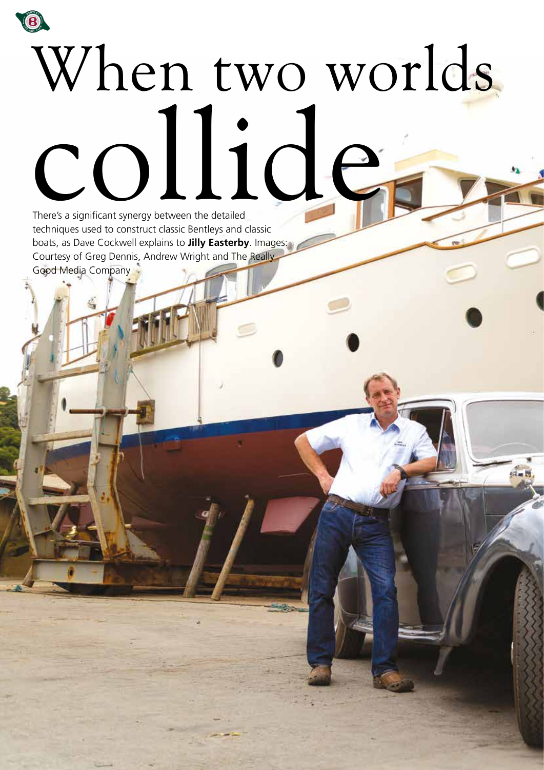## B When two worlds collideThere's a significant synergy between the detailed

 $\frac{1}{2}$ 

techniques used to construct classic Bentleys and classic boats, as Dave Cockwell explains to **Jilly Easterby**. Images: Courtesy of Greg Dennis, Andrew Wright and The Really Good Media Company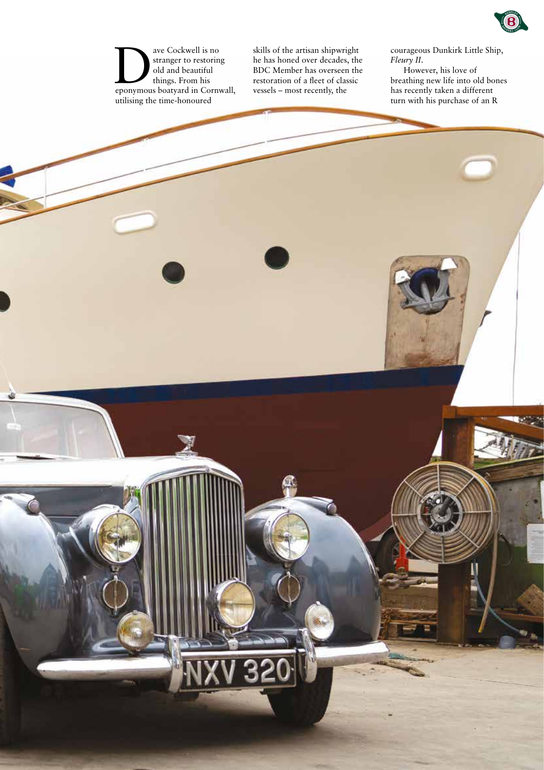

ave Cockwell is no<br>
stranger to restoring<br>
old and beautiful<br>
things. From his<br>
eponymous boatyard in Cornwall, stranger to restoring old and beautiful things. From his utilising the time-honoured

skills of the artisan shipwright he has honed over decades, the BDC Member has overseen the restoration of a fleet of classic vessels – most recently, the

courageous Dunkirk Little Ship, *Fleury II*.

However, his love of breathing new life into old bones has recently taken a different turn with his purchase of an R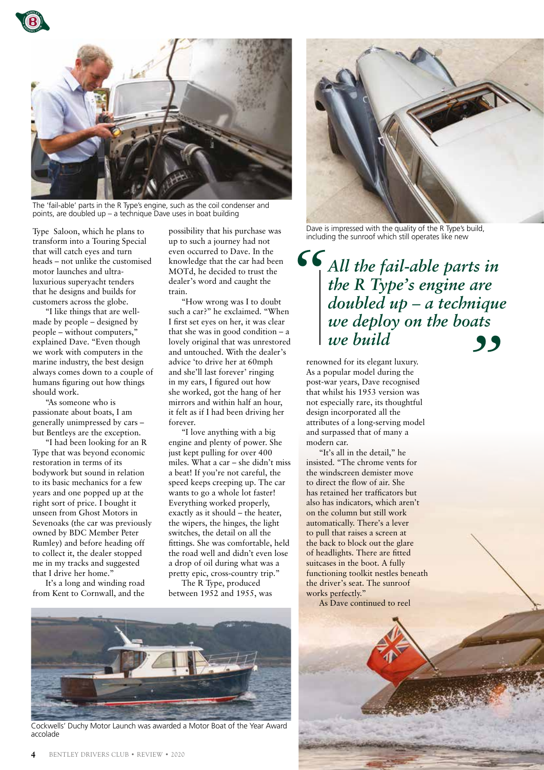

The 'fail-able' parts in the R Type's engine, such as the coil condenser and points, are doubled up – a technique Dave uses in boat building

Type Saloon, which he plans to transform into a Touring Special that will catch eyes and turn heads – not unlike the customised motor launches and ultraluxurious superyacht tenders that he designs and builds for customers across the globe.

"I like things that are wellmade by people – designed by people – without computers," explained Dave. "Even though we work with computers in the marine industry, the best design always comes down to a couple of humans figuring out how things should work.

"As someone who is passionate about boats, I am generally unimpressed by cars – but Bentleys are the exception.

"I had been looking for an R Type that was beyond economic restoration in terms of its bodywork but sound in relation to its basic mechanics for a few years and one popped up at the right sort of price. I bought it unseen from Ghost Motors in Sevenoaks (the car was previously owned by BDC Member Peter Rumley) and before heading off to collect it, the dealer stopped me in my tracks and suggested that I drive her home."

It's a long and winding road from Kent to Cornwall, and the possibility that his purchase was up to such a journey had not even occurred to Dave. In the knowledge that the car had been MOTd, he decided to trust the dealer's word and caught the train.

"How wrong was I to doubt such a car?" he exclaimed. "When I first set eyes on her, it was clear that she was in good condition  $- a$ lovely original that was unrestored and untouched. With the dealer's advice 'to drive her at 60mph and she'll last forever' ringing in my ears, I figured out how she worked, got the hang of her mirrors and within half an hour, it felt as if I had been driving her forever.

"I love anything with a big engine and plenty of power. She just kept pulling for over 400 miles. What a car – she didn't miss a beat! If you're not careful, the speed keeps creeping up. The car wants to go a whole lot faster! Everything worked properly, exactly as it should – the heater, the wipers, the hinges, the light switches, the detail on all the fittings. She was comfortable, held the road well and didn't even lose a drop of oil during what was a pretty epic, cross-country trip."

The R Type, produced between 1952 and 1955, was



Dave is impressed with the quality of the R Type's build, including the sunroof which still operates like new

*All the fail-able parts in the R Type's engine are doubled up – a technique we deploy on the boats we build " "*

renowned for its elegant luxury. As a popular model during the post-war years, Dave recognised that whilst his 1953 version was not especially rare, its thoughtful design incorporated all the attributes of a long-serving model and surpassed that of many a modern car.

"It's all in the detail," he insisted. "The chrome vents for the windscreen demister move to direct the flow of air. She has retained her trafficators but also has indicators, which aren't on the column but still work automatically. There's a lever to pull that raises a screen at the back to block out the glare of headlights. There are fitted suitcases in the boot. A fully functioning toolkit nestles beneath the driver's seat. The sunroof works perfectly."



Cockwells' Duchy Motor Launch was awarded a Motor Boat of the Year Award accolade